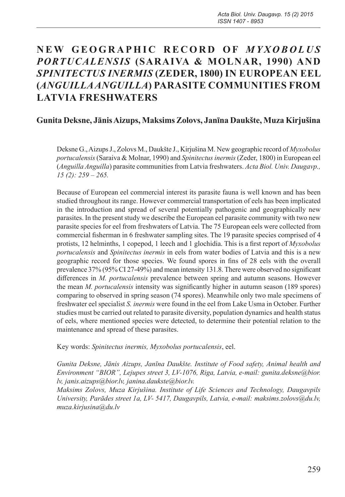# NEW GEOGRAPHIC RECORD OF *MYXOBOLUS PORTUCALENSIS* **(SARAIVA & MOLNAR, 1990) AND**  *SPINITECTUS INERMIS* **(ZEDER, 1800) IN EUROPEAN EEL (***ANGUILLA ANGUILLA***) PARASITE COMMUNITIES FROM LATVIA FRESHWATERS**

## **Gunita Deksne, Jānis Aizups, Maksims Zolovs, Janīna Daukšte, Muza Kirjušina**

Deksne G., Aizups J., Zolovs M., Daukšte J., Kirjušina M. New geographic record of *Myxobolus portucalensis* (Saraiva & Molnar, 1990) and *Spinitectus inermis* (Zeder, 1800) in European eel (*Anguilla Anguilla*) parasite communities from Latvia freshwaters. *Acta Biol. Univ. Daugavp., 15 (2): 259 – 265.*

Because of European eel commercial interest its parasite fauna is well known and has been studied throughout its range. However commercial transportation of eels has been implicated in the introduction and spread of several potentially pathogenic and geographically new parasites. In the present study we describe the European eel parasite community with two new parasite species for eel from freshwaters of Latvia. The 75 European eels were collected from commercial fisherman in 6 freshwater sampling sites. The 19 parasite species comprised of 4 protists, 12 helminths, 1 copepod, 1 leech and 1 glochidia. This is a first report of *Myxobolus portucalensis* and *Spinitectus inermis* in eels from water bodies of Latvia and this is a new geographic record for those species. We found spores in fins of 28 eels with the overall prevalence 37% (95% CI 27-49%) and mean intensity 131.8. There were observed no significant differences in *M. portucalensis* prevalence between spring and autumn seasons. However the mean *M. portucalensis* intensity was significantly higher in autumn season (189 spores) comparing to observed in spring season (74 spores). Meanwhile only two male specimens of freshwater eel specialist *S. inermis* were found in the eel from Lake Usma in October. Further studies must be carried out related to parasite diversity, population dynamics and health status of eels, where mentioned species were detected, to determine their potential relation to the maintenance and spread of these parasites.

Key words: *Spinitectus inermis, Myxobolus portucalensis*, eel.

*Gunita Deksne, Jānis Aizups, Janīna Daukšte. Institute of Food safety, Animal health and Environment "BIOR", Lejupes street 3, LV-1076, Riga, Latvia, e-mail: gunita.deksne@bior. lv, janis.aizups@bior.lv, janina.daukste@bior.lv.* 

*Maksims Zolovs, Muza Kirjušina. Institute of Life Sciences and Technology, Daugavpils University, Parādes street 1a, LV- 5417, Daugavpils, Latvia, e-mail: maksims.zolovs@du.lv, muza.kirjusina@du.lv*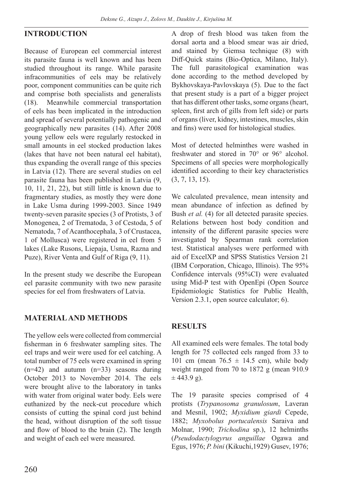## **INTRODUCTION**

Because of European eel commercial interest its parasite fauna is well known and has been studied throughout its range. While parasite infracommunities of eels may be relatively poor, component communities can be quite rich and comprise both specialists and generalists (18). Meanwhile commercial transportation of eels has been implicated in the introduction and spread of several potentially pathogenic and geographically new parasites (14). After 2008 young yellow eels were regularly restocked in small amounts in eel stocked production lakes (lakes that have not been natural eel habitat), thus expanding the overall range of this species in Latvia (12). There are several studies on eel parasite fauna has been published in Latvia (9, 10, 11, 21, 22), but still little is known due to fragmentary studies, as mostly they were done in Lake Usma during 1999-2003. Since 1949 twenty-seven parasite species (3 of Protists, 3 of Monogenea, 2 of Trematoda, 3 of Cestoda, 5 of Nematoda, 7 of Acanthocephala, 3 of Crustacea, 1 of Mollusca) were registered in eel from 5 lakes (Lake Rusons, Liepaja, Usma, Razna and Puze), River Venta and Gulf of Riga (9, 11).

In the present study we describe the European eel parasite community with two new parasite species for eel from freshwaters of Latvia.

### **MATERIAL AND METHODS**

The yellow eels were collected from commercial fisherman in 6 freshwater sampling sites. The eel traps and weir were used for eel catching. A total number of 75 eels were examined in spring (n=42) and autumn (n=33) seasons during October 2013 to November 2014. The eels were brought alive to the laboratory in tanks with water from original water body. Eels were euthanized by the neck-cut procedure which consists of cutting the spinal cord just behind the head, without disruption of the soft tissue and flow of blood to the brain (2). The length and weight of each eel were measured.

A drop of fresh blood was taken from the dorsal aorta and a blood smear was air dried, and stained by Giemsa technique (8) with Diff-Quick stains (Bio-Optica, Milano, Italy). The full parasitological examination was done according to the method developed by Bykhovskaya-Pavlovskaya (5). Due to the fact that present study is a part of a bigger project that has different other tasks, some organs (heart, spleen, first arch of gills from left side) or parts of organs (liver, kidney, intestines, muscles, skin and fins) were used for histological studies.

Most of detected helminthes were washed in freshwater and stored in 70° or 96° alcohol. Specimens of all species were morphologically identified according to their key characteristics (3, 7, 13, 15).

We calculated prevalence, mean intensity and mean abundance of infection as defined by Bush *et al.* (4) for all detected parasite species. Relations between host body condition and intensity of the different parasite species were investigated by Spearman rank correlation test. Statistical analyses were performed with aid of ExcelXP and SPSS Statistics Version 21 (IBM Corporation, Chicago, Illinois). The 95% Confidence intervals (95%CI) were evaluated using Mid-P test with OpenEpi (Open Source Epidemiologic Statistics for Public Health, Version 2.3.1, open source calculator; 6).

### **RESULTS**

All examined eels were females. The total body length for 75 collected eels ranged from 33 to 101 cm (mean  $76.5 \pm 14.5$  cm), while body weight ranged from 70 to 1872 g (mean 910.9  $\pm$  443.9 g).

The 19 parasite species comprised of 4 protists (*Trypanosoma granulosum*, Laveran and Mesnil, 1902; *Myxidium giardi* Cepede, 1882; *Myxobolus portucalensis* Saraiva and Molnar, 1990; *Trichodina* sp.), 12 helminths (*Pseudodactylogyrus anguillae* Ogawa and Egus, 1976; *P. bini* (Kikuchi,1929) Gusev, 1976;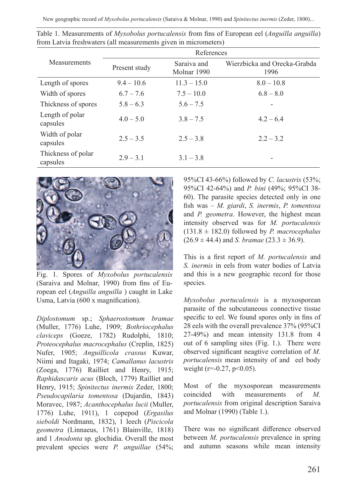New geographic record of *Myxobolus portucalensis* (Saraiva & Molnar, 1990) and *Spinitectus inermis* (Zeder, 1800)...

|                                | References    |                            |                                      |  |
|--------------------------------|---------------|----------------------------|--------------------------------------|--|
| Measurements                   | Present study | Saraiva and<br>Molnar 1990 | Wierzbicka and Orecka-Grabda<br>1996 |  |
| Length of spores               | $9.4 - 10.6$  | $11.3 - 15.0$              | $8.0 - 10.8$                         |  |
| Width of spores                | $6.7 - 7.6$   | $7.5 - 10.0$               | $6.8 - 8.0$                          |  |
| Thickness of spores            | $5.8 - 6.3$   | $5.6 - 7.5$                |                                      |  |
| Length of polar<br>capsules    | $4.0 - 5.0$   | $3.8 - 7.5$                | $4.2 - 6.4$                          |  |
| Width of polar<br>capsules     | $2.5 - 3.5$   | $2.5 - 3.8$                | $2.2 - 3.2$                          |  |
| Thickness of polar<br>capsules | $2.9 - 3.1$   | $3.1 - 3.8$                |                                      |  |

Table 1. Measurements of *Myxobolus portucalensis* from fins of European eel (*Anguilla anguilla*) from Latvia freshwaters (all measurements given in micrometers)



Fig. 1. Spores of *Myxobolus portucalensis* (Saraiva and Molnar, 1990) from fins of European eel (*Anguilla anguilla* ) caught in Lake Usma, Latvia (600 x magnification).

*Diplostomum* sp.; *Sphaerostomum bramae* (Muller, 1776) Luhe, 1909; *Bothriocephalus claviceps* (Goeze, 1782) Rudolphi, 1810; *Proteocephalus macrocephalus* (Creplin, 1825) Nufer, 1905; *Anguillicola crassus* Kuwar, Niimi and Itagaki, 1974; *Camallanus lacustris*  (Zoega, 1776) Railliet and Henry, 1915; *Raphidascaris acus* (Bloch, 1779) Railliet and Henry, 1915; *Spinitectus inermis* Zeder, 1800; *Pseudocapilaria tomentosa* (Dujardin, 1843) Moravec, 1987; *Acanthocephalus lucii* (Muller, 1776) Luhe, 1911), 1 copepod (*Ergasilus sieboldi* Nordmann, 1832), 1 leech (*Piscicola geometra* (Linnaeus, 1761) Blainville, 1818) and 1 *Anodonta* sp. glochidia. Overall the most prevalent species were *P. anguillae* (54%;

95%CI 43-66%) followed by *C. lacustris* (53%; 95%CI 42-64%) and *P. bini* (49%; 95%CI 38- 60). The parasite species detected only in one fish was – *M. giardi*, *S. inermis*, *P. tomentosa* and *P. geometra*. However, the highest mean intensity observed was for *M. portucalensis* (131.8 ± 182.0) followed by *P. macrocephalus*  $(26.9 \pm 44.4)$  and *S. bramae*  $(23.3 \pm 36.9)$ .

This is a first report of *M. portucalensis* and *S. inermis* in eels from water bodies of Latvia and this is a new geographic record for those species.

*Myxobolus portucalensis* is a myxosporean parasite of the subcutaneous connective tissue specific to eel. We found spores only in fins of 28 eels with the overall prevalence 37% (95%CI 27-49%) and mean intensity 131.8 from 4 out of 6 sampling sites (Fig. 1.). There were observed significant neagtive correlation of *M. portucalensis* mean intensity of and eel body weight ( $r = -0.27$ ,  $p < 0.05$ ).

Most of the myxosporean measurements coincided with measurements of *M. portucalensis* from original description Saraiva and Molnar (1990) (Table 1.).

There was no significant difference observed between *M. portucalensis* prevalence in spring and autumn seasons while mean intensity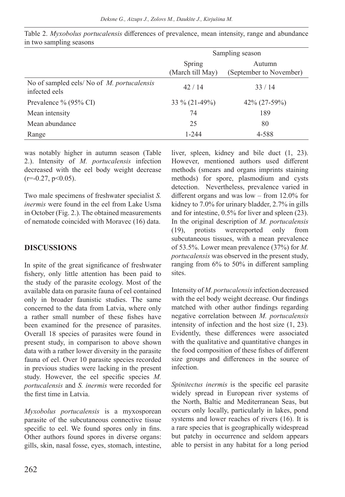|                                                             | Sampling season            |                                   |
|-------------------------------------------------------------|----------------------------|-----------------------------------|
|                                                             | Spring<br>(March till May) | Autumn<br>(September to November) |
| No of sampled eels/ No of M. portucalensis<br>infected eels | 42/14                      | 33/14                             |
| Prevalence % $(95\% \text{ CI})$                            | 33 % (21-49%)              | 42% (27-59%)                      |
| Mean intensity                                              | 74                         | 189                               |
| Mean abundance                                              | 25                         | 80                                |
| Range                                                       | 1-244                      | 4-588                             |

Table 2. *Myxobolus portucalensis* differences of prevalence, mean intensity, range and abundance in two sampling seasons

was notably higher in autumn season (Table 2.). Intensity of *M. portucalensis* infection decreased with the eel body weight decrease  $(r=0.27, p<0.05)$ .

Two male specimens of freshwater specialist *S. inermis* were found in the eel from Lake Usma in October (Fig. 2.). The obtained measurements of nematode coincided with Moravec (16) data.

#### **DISCUSSIONS**

In spite of the great significance of freshwater fishery, only little attention has been paid to the study of the parasite ecology. Most of the available data on parasite fauna of eel contained only in broader faunistic studies. The same concerned to the data from Latvia, where only a rather small number of these fishes have been examined for the presence of parasites. Overall 18 species of parasites were found in present study, in comparison to above shown data with a rather lower diversity in the parasite fauna of eel. Over 10 parasite species recorded in previous studies were lacking in the present study. However, the eel specific species *M. portucalensis* and *S. inermis* were recorded for the first time in Latvia.

*Myxobolus portucalensis* is a myxosporean parasite of the subcutaneous connective tissue specific to eel. We found spores only in fins. Other authors found spores in diverse organs: gills, skin, nasal fosse, eyes, stomach, intestine, liver, spleen, kidney and bile duct (1, 23). However, mentioned authors used different methods (smears and organs imprints staining methods) for spore, plasmodium and cysts detection. Nevertheless, prevalence varied in different organs and was low – from 12.0% for kidney to 7.0% for urinary bladder, 2.7% in gills and for intestine, 0.5% for liver and spleen (23). In the original description of *M. portucalensis* (19), protists werereported only from subcutaneous tissues, with a mean prevalence of 53.5%. Lower mean prevalence (37%) for *M. portucalensis* was observed in the present study, ranging from 6% to 50% in different sampling sites.

Intensity of *M. portucalensis* infection decreased with the eel body weight decrease. Our findings matched with other author findings regarding negative correlation between *M. portucalensis* intensity of infection and the host size (1, 23). Evidently, these differences were associated with the qualitative and quantitative changes in the food composition of these fishes of different size groups and differences in the source of infection.

*Spinitectus inermis* is the specific eel parasite widely spread in European river systems of the North, Baltic and Mediterranean Seas, but occurs only locally, particularly in lakes, pond systems and lower reaches of rivers (16). It is a rare species that is geographically widespread but patchy in occurrence and seldom appears able to persist in any habitat for a long period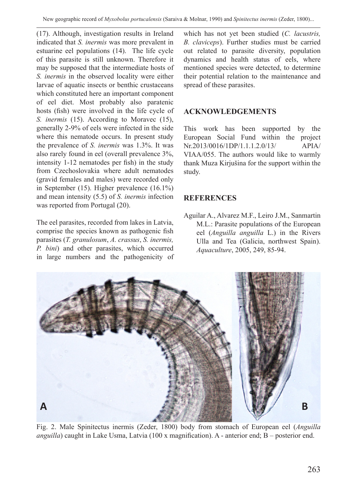(17). Although, investigation results in Ireland indicated that *S. inermis* was more prevalent in estuarine eel populations (14). The life cycle of this parasite is still unknown. Therefore it may be supposed that the intermediate hosts of *S. inermis* in the observed locality were either larvae of aquatic insects or benthic crustaceans which constituted here an important component of eel diet. Most probably also paratenic hosts (fish) were involved in the life cycle of *S. inermis* (15). According to Moravec (15), generally 2-9% of eels were infected in the side where this nematode occurs. In present study the prevalence of *S. inermis* was 1.3%. It was also rarely found in eel (overall prevalence 3%, intensity 1-12 nematodes per fish) in the study from Czechoslovakia where adult nematodes (gravid females and males) were recorded only in September (15). Higher prevalence (16.1%) and mean intensity (5.5) of *S. inermis* infection was reported from Portugal (20).

The eel parasites, recorded from lakes in Latvia, comprise the species known as pathogenic fish parasites (*T. granulosum*, *A. crassus*, *S. inermis, P. bini*) and other parasites, which occurred in large numbers and the pathogenicity of which has not yet been studied (*C. lacustris, B. claviceps*). Further studies must be carried out related to parasite diversity, population dynamics and health status of eels, where mentioned species were detected, to determine their potential relation to the maintenance and spread of these parasites.

## **ACKNOWLEDGEMENTS**

This work has been supported by the European Social Fund within the project Nr.2013/0016/1DP/1.1.1.2.0/13/ APIA/ VIAA/055. The authors would like to warmly thank Muza Kirjušina for the support within the study.

## **REFERENCES**

Aguilar A., Alvarez M.F., Leiro J.M., Sanmartin M.L.: Parasite populations of the European eel (*Anguilla anguilla* L.) in the Rivers Ulla and Tea (Galicia, northwest Spain). *Aquaculture*, 2005, 249, 85-94.



Fig. 2. Male Spinitectus inermis (Zeder, 1800) body from stomach of European eel (*Anguilla anguilla*) caught in Lake Usma, Latvia (100 x magnification). A - anterior end; B – posterior end.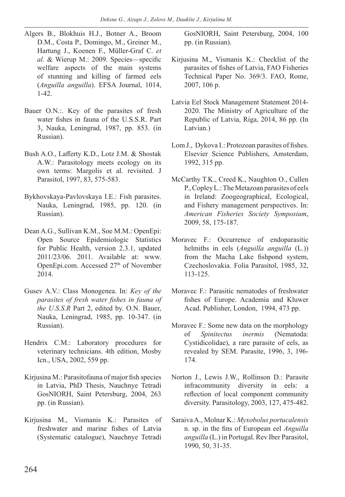- Algers B., Blokhuis H.J., Botner A., Broom D.M., Costa P., Domingo, M., Greiner M., Hartung J., Koenen F., Müller-Graf C. *et al.* & Wierup M.: 2009. Species—specific welfare aspects of the main systems of stunning and killing of farmed eels (*Anguilla anguilla*). EFSA Journal, 1014, 1-42.
- Bauer O.N.:. Key of the parasites of fresh water fishes in fauna of the U.S.S.R. Part 3, Nauka, Leningrad, 1987, pp. 853. (in Russian).
- Bush A.O., Lafferty K.D., Lotz J.M. & Shostak A.W.: Parasitology meets ecology on its own terms: Margolis et al. revisited. J Parasitol, 1997, 83, 575-583.
- Bykhovskaya-Pavlovskaya I.E.: Fish parasites. Nauka, Leningrad, 1985, pp. 120. (in Russian).
- Dean A.G., Sullivan K.M., Soe M.M.: OpenEpi: Open Source Epidemiologic Statistics for Public Health, version 2.3.1, updated 2011/23/06. 2011. Available at: www. OpenEpi.com. Accessed 27<sup>th</sup> of November 2014.
- Gusev A.V.: Class Monogenea. In: *Key of the parasites of fresh water fishes in fauna of the U.S.S.R* Part 2, edited by. O.N. Bauer, Nauka, Leningrad, 1985, pp. 10-347. (in Russian).
- Hendrix C.M.: Laboratory procedures for veterinary technicians. 4th edition, Mosby Icn., USA, 2002, 559 pp.
- Kirjusina M.: Parasitofauna of major fish species in Latvia, PhD Thesis, Nauchnye Tetradi GosNIORH, Saint Petersburg, 2004, 263 pp. (in Russian).
- Kirjusina M., Vismanis K.: Parasites of freshwater and marine fishes of Latvia (Systematic catalogue), Nauchnye Tetradi

GosNIORH, Saint Petersburg, 2004, 100 pp. (in Russian).

- Kirjusina M., Vismanis K.: Checklist of the parasites of fishes of Latvia, FAO Fisheries Technical Paper No. 369/3. FAO, Rome, 2007, 106 p.
- Latvia Eel Stock Management Statement 2014- 2020. The Ministry of Agriculture of the Republic of Latvia, Riga, 2014, 86 pp. (In Latvian.)
- Lom J., Dykova I.: Protozoan parasites of fishes. Elsevier Science Publishers, Amsterdam, 1992, 315 pp.
- McCarthy T.K., Creed K., Naughton O., Cullen P., Copley L.: The Metazoan parasites of eels in Ireland: Zoogeographical, Ecological, and Fishery management perspectives. In: *American Fisheries Society Symposium*, 2009, 58, 175-187.
- Moravec F.: Occurrence of endoparasitic helmiths in eels (*Anguilla anguilla* (L.)) from the Macha Lake fishpond system, Czechoslovakia*.* Folia Parasitol, 1985, 32, 113-125.
- Moravec F.: Parasitic nematodes of freshwater fishes of Europe. Academia and Kluwer Acad. Publisher, London, 1994, 473 pp.
- Moravec F.: Some new data on the morphology of *Spinitectus inermis* (Nematoda: Cystidicolidae), a rare parasite of eels, as revealed by SEM. Parasite, 1996, 3, 196- 174.
- Norton J., Lewis J.W., Rollinson D.: Parasite infracommunity diversity in eels: a reflection of local component community diversity. Parasitology, 2003, 127, 475-482.
- Saraiva A., Molnar K.: *Myxobolus portucalensis* n. sp. in the fins of European eel *Anguilla anguilla* (L.) in Portugal. Rev Iber Parasitol, 1990, 50, 31-35.